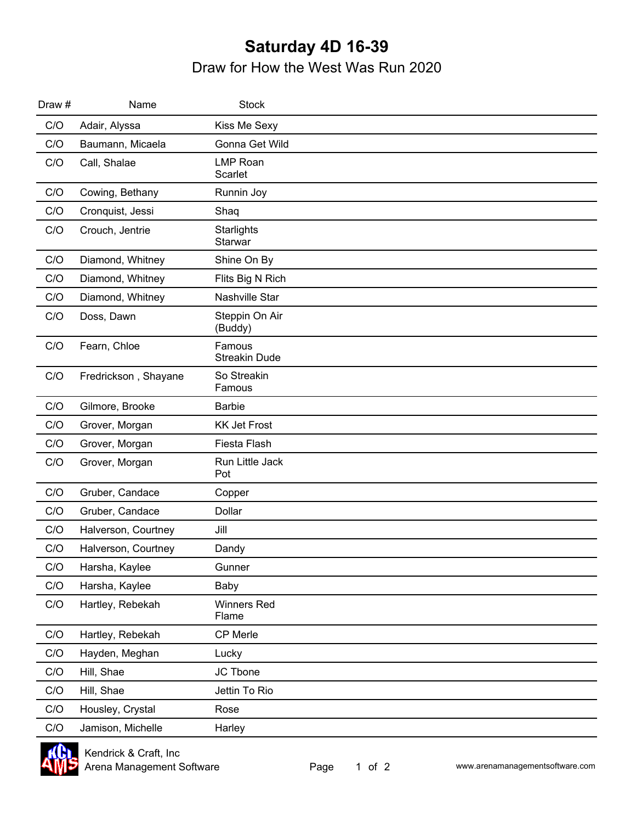## **Saturday 4D 16-39** Draw for How the West Was Run 2020

| Draw # | Name                 | <b>Stock</b>                   |  |
|--------|----------------------|--------------------------------|--|
| C/O    | Adair, Alyssa        | Kiss Me Sexy                   |  |
| C/O    | Baumann, Micaela     | Gonna Get Wild                 |  |
| C/O    | Call, Shalae         | <b>LMP Roan</b><br>Scarlet     |  |
| C/O    | Cowing, Bethany      | Runnin Joy                     |  |
| C/O    | Cronquist, Jessi     | Shaq                           |  |
| C/O    | Crouch, Jentrie      | Starlights<br>Starwar          |  |
| C/O    | Diamond, Whitney     | Shine On By                    |  |
| C/O    | Diamond, Whitney     | Flits Big N Rich               |  |
| C/O    | Diamond, Whitney     | Nashville Star                 |  |
| C/O    | Doss, Dawn           | Steppin On Air<br>(Buddy)      |  |
| C/O    | Fearn, Chloe         | Famous<br><b>Streakin Dude</b> |  |
| C/O    | Fredrickson, Shayane | So Streakin<br>Famous          |  |
| C/O    | Gilmore, Brooke      | <b>Barbie</b>                  |  |
| C/O    | Grover, Morgan       | <b>KK Jet Frost</b>            |  |
| C/O    | Grover, Morgan       | Fiesta Flash                   |  |
| C/O    | Grover, Morgan       | Run Little Jack<br>Pot         |  |
| C/O    | Gruber, Candace      | Copper                         |  |
| C/O    | Gruber, Candace      | <b>Dollar</b>                  |  |
| C/O    | Halverson, Courtney  | Jill                           |  |
| C/O    | Halverson, Courtney  | Dandy                          |  |
| C/O    | Harsha, Kaylee       | Gunner                         |  |
| C/O    | Harsha, Kaylee       | Baby                           |  |
| C/O    | Hartley, Rebekah     | <b>Winners Red</b><br>Flame    |  |
| C/O    | Hartley, Rebekah     | CP Merle                       |  |
| C/O    | Hayden, Meghan       | Lucky                          |  |
| C/O    | Hill, Shae           | JC Tbone                       |  |
| C/O    | Hill, Shae           | Jettin To Rio                  |  |
| C/O    | Housley, Crystal     | Rose                           |  |
| C/O    | Jamison, Michelle    | Harley                         |  |